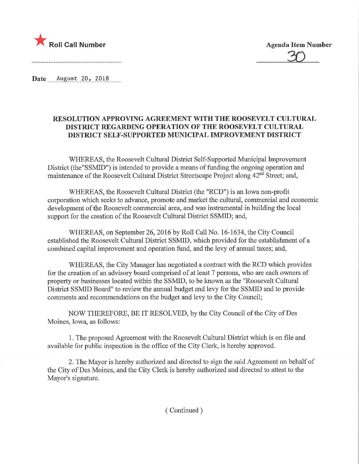

20

Date August 20, 2018

## RESOLUTION APPROVING AGREEMENT WITH THE ROOSEVELT CULTURAL DISTRICT REGARDING OPERATION OF THE ROOSEVELT CULTURAL DISTRICT SELF-SUPPORTED MUNICIPAL IMPROVEMENT DISTRICT

WHEREAS, the Roosevelt Cultural District Self-Supported Municipal Improvement District (the"SSMID") is intended to provide a means of funding the ongoing operation and maintenance of the Roosevelt Cultural District Streetscape Project along 42<sup>nd</sup> Street; and,

WHEREAS, the Roosevelt Cultural District (the "RCD") is an Iowa non-profit corporation which seeks to advance, promote and market the cultural, commercial and economic development of the Roosevelt commercial area, and was instrumental in building the local support for the creation of the Roosevelt Cultural District SSMID; and,

WHEREAS, on September 26, 2016 by Roll Call No. 16-1634, the City Council established the Roosevelt Cultural District SSMID, which provided for the establishment of a combined capital improvement and operation fund, and the levy of annual taxes; and,

WHEREAS, the City Manager has negotiated a contract with the RCD which provides for the creation of an advisory board comprised of at least 7 persons, who are each owners of property or businesses located within the SSMID, to be known as the "Roosevelt Cultural District SSMID Board" to review the annual budget and levy for the SSMID and to provide comments and recommendations on the budget and levy to the City Council;

NOW THEREFORE, BE IT RESOLVED, by the City Council of the City of Des Moines, Iowa, as follows:

1. The proposed Agreement with the Roosevelt Cultural District which is on file and available for public inspection in the office of the City Clerk, is hereby approved.

2. The Mayor is hereby authorized and directed to sign the said Agreement on behalf of the City of Des Moines, and the City Clerk is hereby authorized and directed to attest to the Mayor's signature.

(Continued)